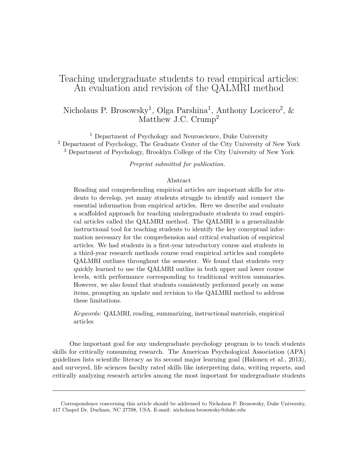# Teaching undergraduate students to read empirical articles: An evaluation and revision of the QALMRI method

# Nicholaus P. Brosowsky<sup>1</sup>, Olga Parshina<sup>1</sup>, Anthony Locicero<sup>2</sup>, & Matthew J.C. Crump<sup>2</sup>

<sup>1</sup> Department of Psychology and Neuroscience, Duke University <sup>2</sup> Department of Psychology, The Graduate Center of the City University of New York <sup>3</sup> Department of Psychology, Brooklyn College of the City University of New York

*Preprint submitted for publication.*

# Abstract

Reading and comprehending empirical articles are important skills for students to develop, yet many students struggle to identify and connect the essential information from empirical articles. Here we describe and evaluate a scaffolded approach for teaching undergraduate students to read empirical articles called the QALMRI method. The QALMRI is a generalizable instructional tool for teaching students to identify the key conceptual information necessary for the comprehension and critical evaluation of empirical articles. We had students in a first-year introductory course and students in a third-year research methods course read empirical articles and complete QALMRI outlines throughout the semester. We found that students very quickly learned to use the QALMRI outline in both upper and lower course levels, with performance corresponding to traditional written summaries. However, we also found that students consistently performed poorly on some items, prompting an update and revision to the QALMRI method to address these limitations.

*Keywords:* QALMRI, reading, summarizing, instructional materials, empirical articles

One important goal for any undergraduate psychology program is to teach students skills for critically consuming research. The American Psychological Association (APA) guidelines lists scientific literacy as its second major learning goal (Halonen et al., 2013), and surveyed, life sciences faculty rated skills like interpreting data, writing reports, and critically analyzing research articles among the most important for undergraduate students

Correspondence concerning this article should be addressed to Nicholaus P. Brosowsky, Duke University, 417 Chapel Dr, Durham, NC 27708, USA. E-mail: [nicholaus.brosowsky@duke.edu](mailto:nicholaus.brosowsky@duke.edu)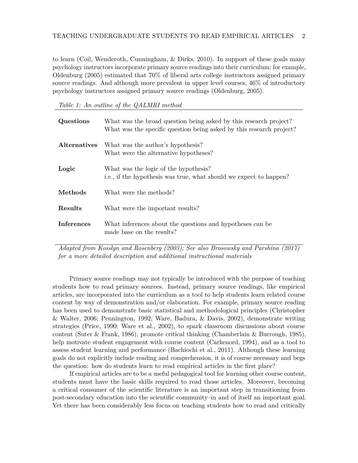to learn (Coil, Wenderoth, Cunningham, & Dirks, 2010). In support of these goals many psychology instructors incorporate primary source readings into their curriculum; for example, Oldenburg (2005) estimated that 70% of liberal arts college instructors assigned primary source readings. And although more prevalent in upper level courses, 46% of introductory psychology instructors assigned primary source readings (Oldenburg, 2005).

*Table 1: An outline of the QALMRI method*

| Questions           | What was the broad question being asked by this research project?<br>What was the specific question being asked by this research project? |
|---------------------|-------------------------------------------------------------------------------------------------------------------------------------------|
| <b>Alternatives</b> | What was the author's hypothesis?<br>What were the alternative hypotheses?                                                                |
| Logic               | What was the logic of the hypothesis?<br>i.e., if the hypothesis was true, what should we expect to happen?                               |
| Methods             | What were the methods?                                                                                                                    |
| Results             | What were the important results?                                                                                                          |
| Inferences          | What inferences about the questions and hypotheses can be<br>made base on the results?                                                    |

*Adapted from Kosslyn and Rosenberg (2003); See also Brosowsky and Parshina (2017) for a more detailed description and additional instructional materials*

Primary source readings may not typically be introduced with the purpose of teaching students how to read primary sources. Instead, primary source readings, like empirical articles, are incorporated into the curriculum as a tool to help students learn related course content by way of demonstration and/or elaboration. For example, primary source reading has been used to demonstrate basic statistical and methodological principles (Christopher & Walter, 2006; Pennington, 1992; Ware, Badura, & Davis, 2002), demonstrate writing strategies (Price, 1990; Ware et al., 2002), to spark classroom discussions about course content (Suter & Frank, 1986), promote critical thinking (Chamberlain & Burrough, 1985), help motivate student engagement with course content (Carkenord, 1994), and as a tool to assess student learning and performance (Bachiochi et al., 2011). Although these learning goals do not explicitly include reading and comprehension, it is of course necessary and begs the question: how do students learn to read empirical articles in the first place?

If empirical articles are to be a useful pedagogical tool for learning other course content, students must have the basic skills required to read those articles. Moreover, becoming a critical consumer of the scientific literature is an important step in transitioning from post-secondary education into the scientific community–in and of itself an important goal. Yet there has been considerably less focus on teaching students how to read and critically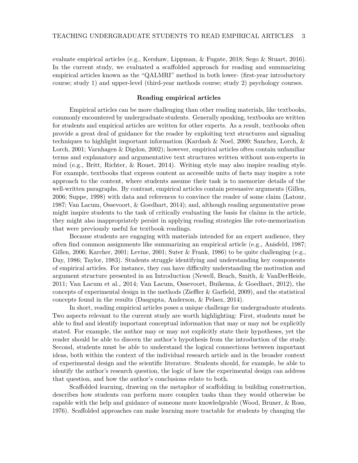evaluate empirical articles (e.g., Kershaw, Lippman, & Fugate, 2018; Sego & Stuart, 2016). In the current study, we evaluated a scaffolded approach for reading and summarizing empirical articles known as the "QALMRI" method in both lower- (first-year introductory course; study 1) and upper-level (third-year methods course; study 2) psychology courses.

#### **Reading empirical articles**

Empirical articles can be more challenging than other reading materials, like textbooks, commonly encountered by undergraduate students. Generally speaking, textbooks are written for students and empirical articles are written for other experts. As a result, textbooks often provide a great deal of guidance for the reader by exploiting text structures and signaling techniques to highlight important information (Kardash & Noel, 2000; Sanchez, Lorch, & Lorch, 2001; Varnhagen & Digdon, 2002); however, empirical articles often contain unfamiliar terms and explanatory and argumentative text structures written without non-experts in mind (e.g., Britt, Richter, & Rouet, 2014). Writing style may also inspire reading style. For example, textbooks that express content as accessible units of facts may inspire a rote approach to the content, where students assume their task is to memorize details of the well-written paragraphs. By contrast, empirical articles contain persuasive arguments (Gillen, 2006; Suppe, 1998) with data and references to convince the reader of some claim (Latour, 1987; Van Lacum, Ossevoort, & Goedhart, 2014); and, although reading argumentative prose might inspire students to the task of critically evaluating the basis for claims in the article, they might also inappropriately persist in applying reading strategies like rote-memorization that were previously useful for textbook readings.

Because students are engaging with materials intended for an expert audience, they often find common assignments like summarizing an empirical article (e.g., Anisfeld, 1987; Gillen, 2006; Karcher, 2001; Levine, 2001; Suter & Frank, 1986) to be quite challenging (e.g., Day, 1986; Taylor, 1983). Students struggle identifying and understanding key components of empirical articles. For instance, they can have difficulty understanding the motivation and argument structure presented in an Introduction (Newell, Beach, Smith, & VanDerHeide, 2011; Van Lacum et al., 2014; Van Lacum, Ossevoort, Buikema, & Goedhart, 2012), the concepts of experimental design in the methods (Zieffler & Garfield, 2009), and the statistical concepts found in the results (Dasgupta, Anderson, & Pelaez, 2014).

In short, reading empirical articles poses a unique challenge for undergraduate students. Two aspects relevant to the current study are worth highlighting: First, students must be able to find and identify important conceptual information that may or may not be explicitly stated. For example, the author may or may not explicitly state their hypotheses, yet the reader should be able to discern the author's hypothesis from the introduction of the study. Second, students must be able to understand the logical connections between important ideas, both within the context of the individual research article and in the broader context of experimental design and the scientific literature. Students should, for example, be able to identify the author's research question, the logic of how the experimental design can address that question, and how the author's conclusions relate to both.

Scaffolded learning, drawing on the metaphor of scaffolding in building construction, describes how students can perform more complex tasks than they would otherwise be capable with the help and guidance of someone more knowledgeable (Wood, Bruner, & Ross, 1976). Scaffolded approaches can make learning more tractable for students by changing the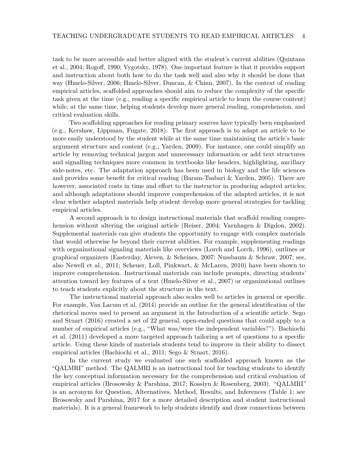task to be more accessible and better aligned with the student's current abilities (Quintana et al., 2004; Rogoff, 1990; Vygotsky, 1978). One important feature is that it provides support and instruction about both how to do the task well and also why it should be done that way (Hmelo-Silver, 2006; Hmelo-Silver, Duncan, & Chinn, 2007). In the context of reading empirical articles, scaffolded approaches should aim to reduce the complexity of the specific task given at the time (e.g., reading a specific empirical article to learn the course content) while, at the same time, helping students develop more general reading, comprehension, and critical evaluation skills.

Two scaffolding approaches for reading primary sources have typically been emphasized (e.g., Kershaw, Lippman, Fugate, 2018). The first approach is to adapt an article to be more easily understood by the student while at the same time maintaining the article's basic argument structure and content (e.g., Yarden, 2009). For instance, one could simplify an article by removing technical jargon and unnecessary information or add text structures and signalling techniques more common in textbooks like headers, highlighting, ancillary side-notes, etc. The adaptation approach has been used in biology and the life sciences and provides some benefit for critical reading (Baram-Tsabari & Yarden, 2005). There are however, associated costs in time and effort to the instructor in producing adapted articles; and although adaptations should improve comprehension of the adapted articles, it is not clear whether adapted materials help student develop more general strategies for tackling empirical articles.

A second approach is to design instructional materials that scaffold reading comprehension without altering the original article (Reiser, 2004; Varnhagen & Digdon, 2002). Supplemental materials can give students the opportunity to engage with complex materials that would otherwise be beyond their current abilities. For example, supplementing readings with organizational signaling materials like overviews (Lorch and Lorch, 1996), outlines or graphical organizers (Easterday, Aleven, & Scheines, 2007; Nussbaum & Schraw, 2007; see, also Newell et al., 2011; Scheuer, Loll, Pinkwart, & McLaren, 2010) have been shown to improve comprehension. Instructional materials can include prompts, directing students' attention toward key features of a text (Hmelo-Silver et al., 2007) or organizational outlines to teach students explicitly about the structure in the text.

The instructional material approach also scales well to articles in general or specific. For example, Van Lacum et al. (2014) provide an outline for the general identification of the rhetorical moves used to present an argument in the Introduction of a scientific article. Sego and Stuart (2016) created a set of 22 general, open-ended questions that could apply to a number of empirical articles (e.g., "What was/were the independent variables?"). Bachiochi et al. (2011) developed a more targeted approach tailoring a set of questions to a specific article. Using these kinds of materials students tend to improve in their ability to dissect empirical articles (Bachiochi et al., 2011; Sego & Stuart, 2016).

In the current study we evaluated one such scaffolded approach known as the "QALMRI" method. The QALMRI is an instructional tool for teaching students to identify the key conceptual information necessary for the comprehension and critical evaluation of empirical articles (Brosowsky & Parshina, 2017; Kosslyn & Rosenberg, 2003). "QALMRI" is an acronym for Question, Alternatives, Method, Results, and Inferences (Table 1; see Brosowsky and Parshina, 2017 for a more detailed description and student instructional materials). It is a general framework to help students identify and draw connections between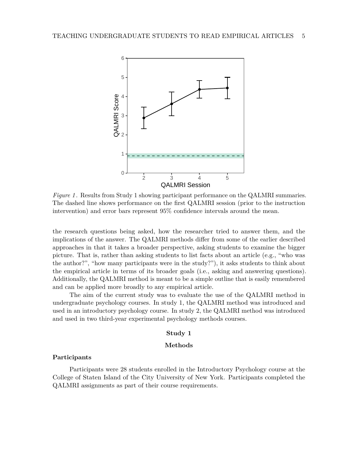

*Figure 1* . Results from Study 1 showing participant performance on the QALMRI summaries. The dashed line shows performance on the first QALMRI session (prior to the instruction intervention) and error bars represent 95% confidence intervals around the mean.

the research questions being asked, how the researcher tried to answer them, and the implications of the answer. The QALMRI methods differ from some of the earlier described approaches in that it takes a broader perspective, asking students to examine the bigger picture. That is, rather than asking students to list facts about an article (e.g., "who was the author?", "how many participants were in the study?"), it asks students to think about the empirical article in terms of its broader goals (i.e., asking and answering questions). Additionally, the QALMRI method is meant to be a simple outline that is easily remembered and can be applied more broadly to any empirical article.

The aim of the current study was to evaluate the use of the QALMRI method in undergraduate psychology courses. In study 1, the QALMRI method was introduced and used in an introductory psychology course. In study 2, the QALMRI method was introduced and used in two third-year experimental psychology methods courses.

### **Study 1**

#### **Methods**

#### **Participants**

Participants were 28 students enrolled in the Introductory Psychology course at the College of Staten Island of the City University of New York. Participants completed the QALMRI assignments as part of their course requirements.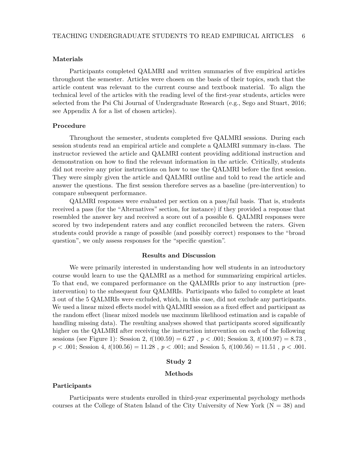# **Materials**

Participants completed QALMRI and written summaries of five empirical articles throughout the semester. Articles were chosen on the basis of their topics, such that the article content was relevant to the current course and textbook material. To align the technical level of the articles with the reading level of the first-year students, articles were selected from the Psi Chi Journal of Undergraduate Research (e.g., Sego and Stuart, 2016; see Appendix A for a list of chosen articles).

# **Procedure**

Throughout the semester, students completed five QALMRI sessions. During each session students read an empirical article and complete a QALMRI summary in-class. The instructor reviewed the article and QALMRI content providing additional instruction and demonstration on how to find the relevant information in the article. Critically, students did not receive any prior instructions on how to use the QALMRI before the first session. They were simply given the article and QALMRI outline and told to read the article and answer the questions. The first session therefore serves as a baseline (pre-intervention) to compare subsequent performance.

QALMRI responses were evaluated per section on a pass/fail basis. That is, students received a pass (for the "Alternatives" section, for instance) if they provided a response that resembled the answer key and received a score out of a possible 6. QALMRI responses were scored by two independent raters and any conflict reconciled between the raters. Given students could provide a range of possible (and possibly correct) responses to the "broad question", we only assess responses for the "specific question".

#### **Results and Discussion**

We were primarily interested in understanding how well students in an introductory course would learn to use the QALMRI as a method for summarizing empirical articles. To that end, we compared performance on the QALMRIs prior to any instruction (preintervention) to the subsequent four QALMRIs. Participants who failed to complete at least 3 out of the 5 QALMRIs were excluded, which, in this case, did not exclude any participants. We used a linear mixed effects model with QALMRI session as a fixed effect and participant as the random effect (linear mixed models use maximum likelihood estimation and is capable of handling missing data). The resulting analyses showed that participants scored significantly higher on the QALMRI after receiving the instruction intervention on each of the following sessions (see Figure 1): Session 2, *t*(100*.*59) = 6*.*27 , *p < .*001; Session 3, *t*(100*.*97) = 8*.*73 , *p < .*001; Session 4, *t*(100*.*56) = 11*.*28 , *p < .*001; and Session 5, *t*(100*.*56) = 11*.*51 , *p < .*001.

## **Study 2**

# **Methods**

# **Participants**

Participants were students enrolled in third-year experimental psychology methods courses at the College of Staten Island of the City University of New York  $(N = 38)$  and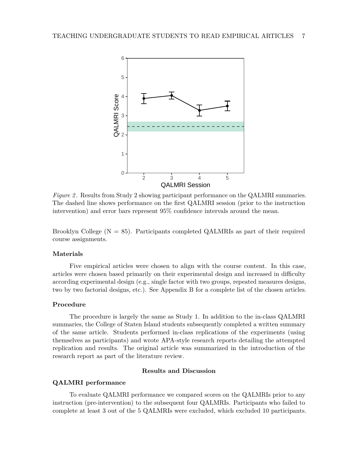

*Figure 2* . Results from Study 2 showing participant performance on the QALMRI summaries. The dashed line shows performance on the first QALMRI session (prior to the instruction intervention) and error bars represent 95% confidence intervals around the mean.

Brooklyn College  $(N = 85)$ . Participants completed QALMRIs as part of their required course assignments.

# **Materials**

Five empirical articles were chosen to align with the course content. In this case, articles were chosen based primarily on their experimental design and increased in difficulty according experimental design (e.g., single factor with two groups, repeated measures designs, two by two factorial designs, etc.). See Appendix B for a complete list of the chosen articles.

# **Procedure**

The procedure is largely the same as Study 1. In addition to the in-class QALMRI summaries, the College of Staten Island students subsequently completed a written summary of the same article. Students performed in-class replications of the experiments (using themselves as participants) and wrote APA-style research reports detailing the attempted replication and results. The original article was summarized in the introduction of the research report as part of the literature review.

# **Results and Discussion**

# **QALMRI performance**

To evaluate QALMRI performance we compared scores on the QALMRIs prior to any instruction (pre-intervention) to the subsequent four QALMRIs. Participants who failed to complete at least 3 out of the 5 QALMRIs were excluded, which excluded 10 participants.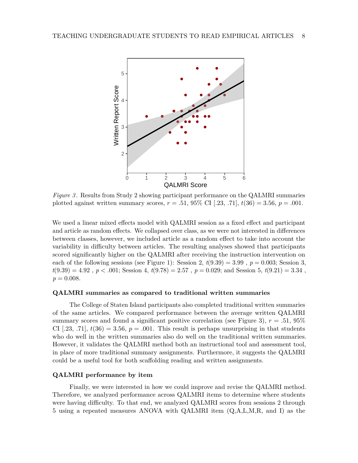

*Figure 3* . Results from Study 2 showing participant performance on the QALMRI summaries plotted against written summary scores,  $r = .51, 95\%$  CI [.23, .71],  $t(36) = 3.56$ ,  $p = .001$ .

We used a linear mixed effects model with QALMRI session as a fixed effect and participant and article as random effects. We collapsed over class, as we were not interested in differences between classes, however, we included article as a random effect to take into account the variability in difficulty between articles. The resulting analyses showed that participants scored significantly higher on the QALMRI after receiving the instruction intervention on each of the following sessions (see Figure 1): Session 2,  $t(9.39) = 3.99$ ,  $p = 0.003$ ; Session 3,  $t(9.39) = 4.92$ ,  $p < .001$ ; Session 4,  $t(9.78) = 2.57$ ,  $p = 0.029$ ; and Session 5,  $t(9.21) = 3.34$ ,  $p = 0.008$ .

### **QALMRI summaries as compared to traditional written summaries**

The College of Staten Island participants also completed traditional written summaries of the same articles. We compared performance between the average written QALMRI summary scores and found a significant positive correlation (see Figure 3), *r* = *.*51, 95% CI [.23, .71],  $t(36) = 3.56$ ,  $p = .001$ . This result is perhaps unsurprising in that students who do well in the written summaries also do well on the traditional written summaries. However, it validates the QALMRI method both an instructional tool and assessment tool, in place of more traditional summary assignments. Furthermore, it suggests the QALMRI could be a useful tool for both scaffolding reading and written assignments.

### **QALMRI performance by item**

Finally, we were interested in how we could improve and revise the QALMRI method. Therefore, we analyzed performance across QALMRI items to determine where students were having difficulty. To that end, we analyzed QALMRI scores from sessions 2 through 5 using a repeated measures ANOVA with QALMRI item (Q,A,L,M,R, and I) as the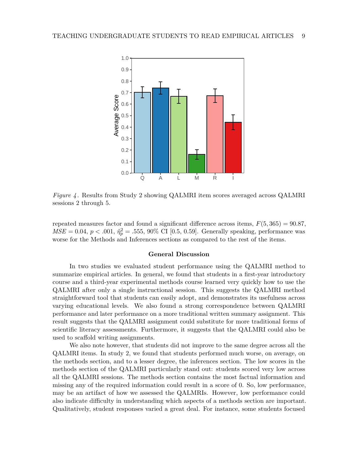

*Figure 4* . Results from Study 2 showing QALMRI item scores averaged across QALMRI sessions 2 through 5.

repeated measures factor and found a significant difference across items,  $F(5, 365) = 90.87$ ,  $MSE = 0.04, p < .001, \hat{\eta}_p^2 = .555, 90\% \text{ CI} [0.5, 0.59].$  Generally speaking, performance was worse for the Methods and Inferences sections as compared to the rest of the items.

#### **General Discussion**

In two studies we evaluated student performance using the QALMRI method to summarize empirical articles. In general, we found that students in a first-year introductory course and a third-year experimental methods course learned very quickly how to use the QALMRI after only a single instructional session. This suggests the QALMRI method straightforward tool that students can easily adopt, and demonstrates its usefulness across varying educational levels. We also found a strong correspondence between QALMRI performance and later performance on a more traditional written summary assignment. This result suggests that the QALMRI assignment could substitute for more traditional forms of scientific literacy assessments. Furthermore, it suggests that the QALMRI could also be used to scaffold writing assignments.

We also note however, that students did not improve to the same degree across all the QALMRI items. In study 2, we found that students performed much worse, on average, on the methods section, and to a lesser degree, the inferences section. The low scores in the methods section of the QALMRI particularly stand out: students scored very low across all the QALMRI sessions. The methods section contains the most factual information and missing any of the required information could result in a score of 0. So, low performance, may be an artifact of how we assessed the QALMRIs. However, low performance could also indicate difficulty in understanding which aspects of a methods section are important. Qualitatively, student responses varied a great deal. For instance, some students focused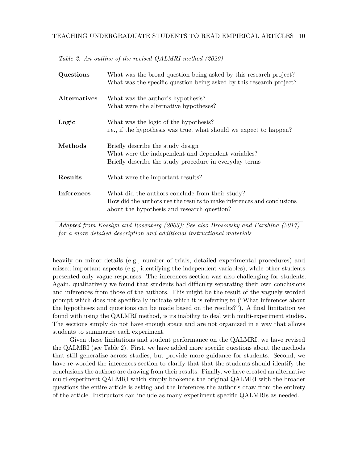| Questions           | What was the broad question being asked by this research project?<br>What was the specific question being asked by this research project?                                |
|---------------------|--------------------------------------------------------------------------------------------------------------------------------------------------------------------------|
| <b>Alternatives</b> | What was the author's hypothesis?<br>What were the alternative hypotheses?                                                                                               |
| Logic               | What was the logic of the hypothesis?<br>i.e., if the hypothesis was true, what should we expect to happen?                                                              |
| Methods             | Briefly describe the study design<br>What were the independent and dependent variables?<br>Briefly describe the study procedure in everyday terms                        |
| Results             | What were the important results?                                                                                                                                         |
| <b>Inferences</b>   | What did the authors conclude from their study?<br>How did the authors use the results to make inferences and conclusions<br>about the hypothesis and research question? |

*Table 2: An outline of the revised QALMRI method (2020)*

*Adapted from Kosslyn and Rosenberg (2003); See also Brosowsky and Parshina (2017) for a more detailed description and additional instructional materials*

heavily on minor details (e.g., number of trials, detailed experimental procedures) and missed important aspects (e.g., identifying the independent variables), while other students presented only vague responses. The inferences section was also challenging for students. Again, qualitatively we found that students had difficulty separating their own conclusions and inferences from those of the authors. This might be the result of the vaguely worded prompt which does not specifically indicate which it is referring to ("What inferences about the hypotheses and questions can be made based on the results?"). A final limitation we found with using the QALMRI method, is its inability to deal with multi-experiment studies. The sections simply do not have enough space and are not organized in a way that allows students to summarize each experiment.

Given these limitations and student performance on the QALMRI, we have revised the QALMRI (see Table 2). First, we have added more specific questions about the methods that still generalize across studies, but provide more guidance for students. Second, we have re-worded the inferences section to clarify that that the students should identify the conclusions the authors are drawing from their results. Finally, we have created an alternative multi-experiment QALMRI which simply bookends the original QALMRI with the broader questions the entire article is asking and the inferences the author's draw from the entirety of the article. Instructors can include as many experiment-specific QALMRIs as needed.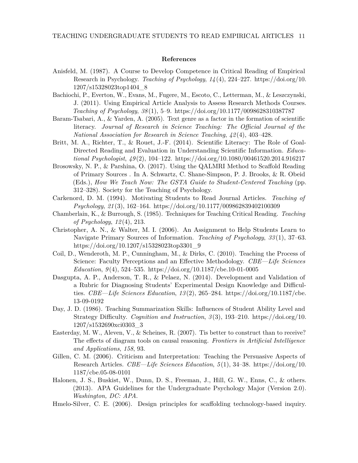# **References**

- Anisfeld, M. (1987). A Course to Develop Competence in Critical Reading of Empirical Research in Psychology. *Teaching of Psychology*, *14* (4), 224–227. [https://doi.org/10.](https://doi.org/10.1207/s15328023top1404_8) [1207/s15328023top1404\\_8](https://doi.org/10.1207/s15328023top1404_8)
- Bachiochi, P., Everton, W., Evans, M., Fugere, M., Escoto, C., Letterman, M., & Leszczynski, J. (2011). Using Empirical Article Analysis to Assess Research Methods Courses. *Teaching of Psychology*, *38* (1), 5–9.<https://doi.org/10.1177/0098628310387787>
- Baram-Tsabari, A., & Yarden, A. (2005). Text genre as a factor in the formation of scientific literacy. *Journal of Research in Science Teaching: The Official Journal of the National Association for Research in Science Teaching*, *42* (4), 403–428.
- Britt, M. A., Richter, T., & Rouet, J.-F. (2014). Scientific Literacy: The Role of Goal-Directed Reading and Evaluation in Understanding Scientific Information. *Educational Psychologist*, *49* (2), 104–122.<https://doi.org/10.1080/00461520.2014.916217>
- Brosowsky, N. P., & Parshina, O. (2017). Using the QALMRI Method to Scaffold Reading of Primary Sources . In A. Schwartz, C. Shane-Simpson, P. J. Brooks, & R. Obeid (Eds.), *How We Teach Now: The GSTA Guide to Student-Centered Teaching* (pp. 312–328). Society for the Teaching of Psychology.
- Carkenord, D. M. (1994). Motivating Students to Read Journal Articles. *Teaching of Psychology*, *21* (3), 162–164.<https://doi.org/10.1177/009862839402100309>
- Chamberlain, K., & Burrough, S. (1985). Techniques for Teaching Critical Reading. *Teaching of Psychology*, *12* (4), 213.
- Christopher, A. N., & Walter, M. I. (2006). An Assignment to Help Students Learn to Navigate Primary Sources of Information. *Teaching of Psychology*, *33* (1), 37–63. [https://doi.org/10.1207/s15328023top3301\\_9](https://doi.org/10.1207/s15328023top3301_9)
- Coil, D., Wenderoth, M. P., Cunningham, M., & Dirks, C. (2010). Teaching the Process of Science: Faculty Perceptions and an Effective Methodology. *CBE—Life Sciences Education*, *9* (4), 524–535.<https://doi.org/10.1187/cbe.10-01-0005>
- Dasgupta, A. P., Anderson, T. R., & Pelaez, N. (2014). Development and Validation of a Rubric for Diagnosing Students' Experimental Design Knowledge and Difficulties. *CBE—Life Sciences Education*, *13* (2), 265–284. [https://doi.org/10.1187/cbe.](https://doi.org/10.1187/cbe.13-09-0192) [13-09-0192](https://doi.org/10.1187/cbe.13-09-0192)
- Day, J. D. (1986). Teaching Summarization Skills: Influences of Student Ability Level and Strategy Difficulty. *Cognition and Instruction*, *3* (3), 193–210. [https://doi.org/10.](https://doi.org/10.1207/s1532690xci0303_3) [1207/s1532690xci0303\\_3](https://doi.org/10.1207/s1532690xci0303_3)
- Easterday, M. W., Aleven, V., & Scheines, R. (2007). Tis better to construct than to receive? The effects of diagram tools on causal reasoning. *Frontiers in Artificial Intelligence and Applications*, *158*, 93.
- Gillen, C. M. (2006). Criticism and Interpretation: Teaching the Persuasive Aspects of Research Articles. *CBE—Life Sciences Education*, *5* (1), 34–38. [https://doi.org/10.](https://doi.org/10.1187/cbe.05-08-0101) [1187/cbe.05-08-0101](https://doi.org/10.1187/cbe.05-08-0101)
- Halonen, J. S., Buskist, W., Dunn, D. S., Freeman, J., Hill, G. W., Enns, C., & others. (2013). APA Guidelines for the Undergraduate Psychology Major (Version 2.0). *Washington, DC: APA*.
- Hmelo-Silver, C. E. (2006). Design principles for scaffolding technology-based inquiry.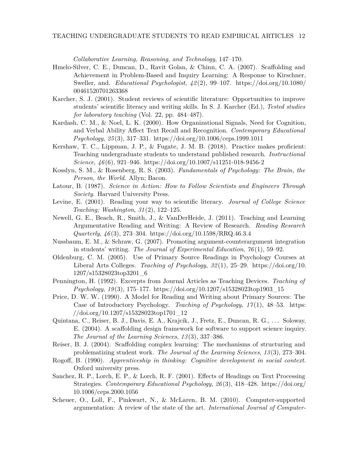*Collaborative Learning, Reasoning, and Technology*, 147–170.

- Hmelo-Silver, C. E., Duncan, D., Ravit Golan, & Chinn, C. A. (2007). Scaffolding and Achievement in Problem-Based and Inquiry Learning: A Response to Kirschner, Sweller, and. *Educational Psychologist*, *42* (2), 99–107. [https://doi.org/10.1080/](https://doi.org/10.1080/00461520701263368) [00461520701263368](https://doi.org/10.1080/00461520701263368)
- Karcher, S. J. (2001). Student reviews of scientific literature: Opportunities to improve students' scientific literacy and writing skills. In S. J. Karcher (Ed.), *Tested studies for laboratory teaching* (Vol. 22, pp. 484–487).
- Kardash, C. M., & Noel, L. K. (2000). How Organizational Signals, Need for Cognition, and Verbal Ability Affect Text Recall and Recognition. *Contemporary Educational Psychology*, *25* (3), 317–331.<https://doi.org/10.1006/ceps.1999.1011>
- Kershaw, T. C., Lippman, J. P., & Fugate, J. M. B. (2018). Practice makes proficient: Teaching undergraduate students to understand published research. *Instructional Science*, *46* (6), 921–946.<https://doi.org/10.1007/s11251-018-9456-2>
- Kosslyn, S. M., & Rosenberg, R. S. (2003). *Fundamentals of Psychology: The Brain, the Person, the World*. Allyn; Bacon.
- Latour, B. (1987). *Science in Action: How to Follow Scientists and Engineers Through Society*. Harvard University Press.
- Levine, E. (2001). Reading your way to scientific literacy. *Journal of College Science Teaching; Washington*, *31* (2), 122–125.
- Newell, G. E., Beach, R., Smith, J., & VanDerHeide, J. (2011). Teaching and Learning Argumentative Reading and Writing: A Review of Research. *Reading Research Quarterly*, *46* (3), 273–304.<https://doi.org/10.1598/RRQ.46.3.4>
- Nussbaum, E. M., & Schraw, G. (2007). Promoting argument-counterargument integration in students' writing. *The Journal of Experimental Education*, *76* (1), 59–92.
- Oldenburg, C. M. (2005). Use of Primary Source Readings in Psychology Courses at Liberal Arts Colleges. *Teaching of Psychology*, *32* (1), 25–29. [https://doi.org/10.](https://doi.org/10.1207/s15328023top3201_6) [1207/s15328023top3201\\_6](https://doi.org/10.1207/s15328023top3201_6)
- Pennington, H. (1992). Excerpts from Journal Articles as Teaching Devices. *Teaching of Psychology*, *19* (3), 175–177. [https://doi.org/10.1207/s15328023top1903\\_15](https://doi.org/10.1207/s15328023top1903_15)
- Price, D. W. W. (1990). A Model for Reading and Writing about Primary Sources: The Case of Introductory Psychology. *Teaching of Psychology*, *17* (1), 48–53. [https:](https://doi.org/10.1207/s15328023top1701_12) [//doi.org/10.1207/s15328023top1701\\_12](https://doi.org/10.1207/s15328023top1701_12)
- Quintana, C., Reiser, B. J., Davis, E. A., Krajcik, J., Fretz, E., Duncan, R. G., . . . Soloway, E. (2004). A scaffolding design framework for software to support science inquiry. *The Journal of the Learning Sciences*, *13* (3), 337–386.
- Reiser, B. J. (2004). Scaffolding complex learning: The mechanisms of structuring and problematizing student work. *The Journal of the Learning Sciences*, *13* (3), 273–304.
- Rogoff, B. (1990). *Apprenticeship in thinking: Cognitive development in social context.* Oxford university press.
- Sanchez, R. P., Lorch, E. P., & Lorch, R. F. (2001). Effects of Headings on Text Processing Strategies. *Contemporary Educational Psychology*, *26* (3), 418–428. [https://doi.org/](https://doi.org/10.1006/ceps.2000.1056) [10.1006/ceps.2000.1056](https://doi.org/10.1006/ceps.2000.1056)
- Scheuer, O., Loll, F., Pinkwart, N., & McLaren, B. M. (2010). Computer-supported argumentation: A review of the state of the art. *International Journal of Computer-*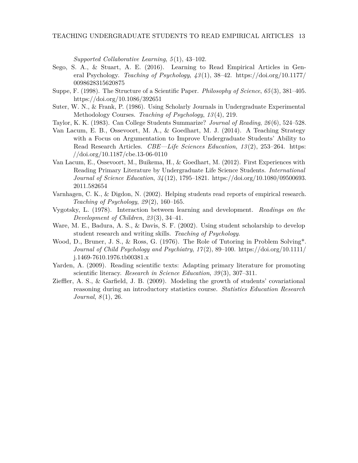*Supported Collaborative Learning*, *5* (1), 43–102.

- Sego, S. A., & Stuart, A. E. (2016). Learning to Read Empirical Articles in General Psychology. *Teaching of Psychology*, *43* (1), 38–42. [https://doi.org/10.1177/](https://doi.org/10.1177/0098628315620875) [0098628315620875](https://doi.org/10.1177/0098628315620875)
- Suppe, F. (1998). The Structure of a Scientific Paper. *Philosophy of Science*, *65* (3), 381–405. <https://doi.org/10.1086/392651>
- Suter, W. N., & Frank, P. (1986). Using Scholarly Journals in Undergraduate Experimental Methodology Courses. *Teaching of Psychology*, *13* (4), 219.
- Taylor, K. K. (1983). Can College Students Summarize? *Journal of Reading*, *26* (6), 524–528.
- Van Lacum, E. B., Ossevoort, M. A., & Goedhart, M. J. (2014). A Teaching Strategy with a Focus on Argumentation to Improve Undergraduate Students' Ability to Read Research Articles. *CBE—Life Sciences Education*, *13* (2), 253–264. [https:](https://doi.org/10.1187/cbe.13-06-0110) [//doi.org/10.1187/cbe.13-06-0110](https://doi.org/10.1187/cbe.13-06-0110)
- Van Lacum, E., Ossevoort, M., Buikema, H., & Goedhart, M. (2012). First Experiences with Reading Primary Literature by Undergraduate Life Science Students. *International Journal of Science Education*, *34* (12), 1795–1821. [https://doi.org/10.1080/09500693.](https://doi.org/10.1080/09500693.2011.582654) [2011.582654](https://doi.org/10.1080/09500693.2011.582654)
- Varnhagen, C. K., & Digdon, N. (2002). Helping students read reports of empirical research. *Teaching of Psychology*, *29* (2), 160–165.
- Vygotsky, L. (1978). Interaction between learning and development. *Readings on the Development of Children*, *23* (3), 34–41.
- Ware, M. E., Badura, A. S., & Davis, S. F. (2002). Using student scholarship to develop student research and writing skills. *Teaching of Psychology*.
- Wood, D., Bruner, J. S., & Ross, G. (1976). The Role of Tutoring in Problem Solving\*. *Journal of Child Psychology and Psychiatry*, *17* (2), 89–100. [https://doi.org/10.1111/](https://doi.org/10.1111/j.1469-7610.1976.tb00381.x) [j.1469-7610.1976.tb00381.x](https://doi.org/10.1111/j.1469-7610.1976.tb00381.x)
- Yarden, A. (2009). Reading scientific texts: Adapting primary literature for promoting scientific literacy. *Research in Science Education*, *39* (3), 307–311.
- Zieffler, A. S., & Garfield, J. B. (2009). Modeling the growth of students' covariational reasoning during an introductory statistics course. *Statistics Education Research Journal*, *8* (1), 26.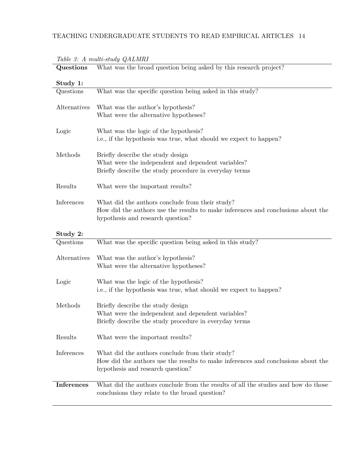| Study 1:          |                                                                                                                                                                          |
|-------------------|--------------------------------------------------------------------------------------------------------------------------------------------------------------------------|
| Questions         | What was the specific question being asked in this study?                                                                                                                |
| Alternatives      | What was the author's hypothesis?<br>What were the alternative hypotheses?                                                                                               |
| Logic             | What was the logic of the hypothesis?<br>i.e., if the hypothesis was true, what should we expect to happen?                                                              |
| Methods           | Briefly describe the study design<br>What were the independent and dependent variables?<br>Briefly describe the study procedure in everyday terms                        |
| Results           | What were the important results?                                                                                                                                         |
| Inferences        | What did the authors conclude from their study?<br>How did the authors use the results to make inferences and conclusions about the<br>hypothesis and research question? |
| Study 2:          |                                                                                                                                                                          |
| Questions         | What was the specific question being asked in this study?                                                                                                                |
| Alternatives      | What was the author's hypothesis?<br>What were the alternative hypotheses?                                                                                               |
| Logic             | What was the logic of the hypothesis?<br>i.e., if the hypothesis was true, what should we expect to happen?                                                              |
| Methods           | Briefly describe the study design<br>What were the independent and dependent variables?<br>Briefly describe the study procedure in everyday terms                        |
| Results           | What were the important results?                                                                                                                                         |
| Inferences        | What did the authors conclude from their study?<br>How did the authors use the results to make inferences and conclusions about the<br>hypothesis and research question? |
| <b>Inferences</b> | What did the authors conclude from the results of all the studies and how do those<br>conclusions they relate to the broad question?                                     |

*Table 3: A multi-study QALMRI* **Questions** What was the broad question being asked by this research project?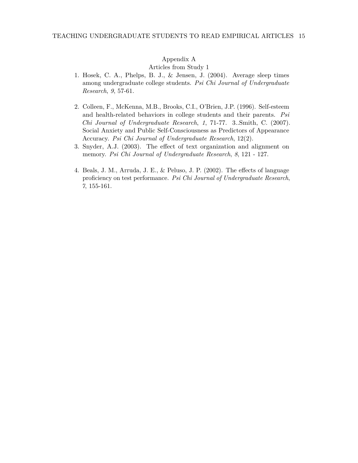# Appendix A

Articles from Study 1

- 1. Hosek, C. A., Phelps, B. J., & Jensen, J. (2004). Average sleep times among undergraduate college students. *Psi Chi Journal of Undergraduate Research*, *9*, 57-61.
- 2. Colleen, F., McKenna, M.B., Brooks, C.I., O'Brien, J.P. (1996). Self-esteem and health-related behaviors in college students and their parents. *Psi Chi Journal of Undergraduate Research*, *1*, 71-77. 3..Smith, C. (2007). Social Anxiety and Public Self-Consciousness as Predictors of Appearance Accuracy. *Psi Chi Journal of Undergraduate Research*, 12(2).
- 3. Snyder, A.J. (2003). The effect of text organization and alignment on memory. *Psi Chi Journal of Undergraduate Research*, *8*, 121 - 127.
- 4. Beals, J. M., Arruda, J. E., & Peluso, J. P. (2002). The effects of language proficiency on test performance. *Psi Chi Journal of Undergraduate Research*, *7*, 155-161.